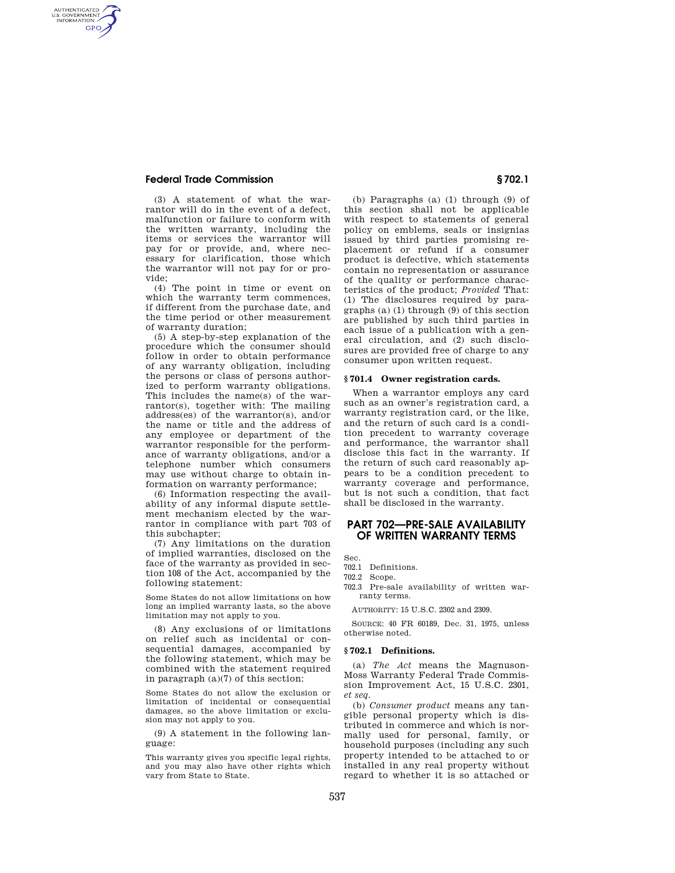### **Federal Trade Commission § 702.1**

AUTHENTICATED<br>U.S. GOVERNMENT<br>INFORMATION **GPO** 

> (3) A statement of what the warrantor will do in the event of a defect, malfunction or failure to conform with the written warranty, including the items or services the warrantor will pay for or provide, and, where necessary for clarification, those which the warrantor will not pay for or provide;

> (4) The point in time or event on which the warranty term commences, if different from the purchase date, and the time period or other measurement of warranty duration;

> (5) A step-by-step explanation of the procedure which the consumer should follow in order to obtain performance of any warranty obligation, including the persons or class of persons authorized to perform warranty obligations. This includes the name(s) of the warrantor(s), together with: The mailing address(es) of the warrantor(s), and/or the name or title and the address of any employee or department of the warrantor responsible for the performance of warranty obligations, and/or a telephone number which consumers may use without charge to obtain information on warranty performance;

> (6) Information respecting the availability of any informal dispute settlement mechanism elected by the warrantor in compliance with part 703 of this subchapter;

> (7) Any limitations on the duration of implied warranties, disclosed on the face of the warranty as provided in section 108 of the Act, accompanied by the following statement:

> Some States do not allow limitations on how long an implied warranty lasts, so the above limitation may not apply to you.

> (8) Any exclusions of or limitations on relief such as incidental or consequential damages, accompanied by the following statement, which may be combined with the statement required in paragraph (a)(7) of this section:

> Some States do not allow the exclusion or limitation of incidental or consequential damages, so the above limitation or exclusion may not apply to you.

> (9) A statement in the following language:

> This warranty gives you specific legal rights, and you may also have other rights which vary from State to State.

(b) Paragraphs (a) (1) through (9) of this section shall not be applicable with respect to statements of general policy on emblems, seals or insignias issued by third parties promising replacement or refund if a consumer product is defective, which statements contain no representation or assurance of the quality or performance characteristics of the product; *Provided* That: (1) The disclosures required by paragraphs (a) (1) through (9) of this section are published by such third parties in each issue of a publication with a general circulation, and (2) such disclosures are provided free of charge to any consumer upon written request.

#### **§ 701.4 Owner registration cards.**

When a warrantor employs any card such as an owner's registration card, a warranty registration card, or the like, and the return of such card is a condition precedent to warranty coverage and performance, the warrantor shall disclose this fact in the warranty. If the return of such card reasonably appears to be a condition precedent to warranty coverage and performance, but is not such a condition, that fact shall be disclosed in the warranty.

## **PART 702—PRE-SALE AVAILABILITY OF WRITTEN WARRANTY TERMS**

Sec.

702.1 Definitions.

702.3 Pre-sale availability of written warranty terms.

AUTHORITY: 15 U.S.C. 2302 and 2309.

SOURCE: 40 FR 60189, Dec. 31, 1975, unless otherwise noted.

#### **§ 702.1 Definitions.**

(a) *The Act* means the Magnuson-Moss Warranty Federal Trade Commission Improvement Act, 15 U.S.C. 2301, *et seq.*

(b) *Consumer product* means any tangible personal property which is distributed in commerce and which is normally used for personal, family, or household purposes (including any such property intended to be attached to or installed in any real property without regard to whether it is so attached or

<sup>702.2</sup> Scope.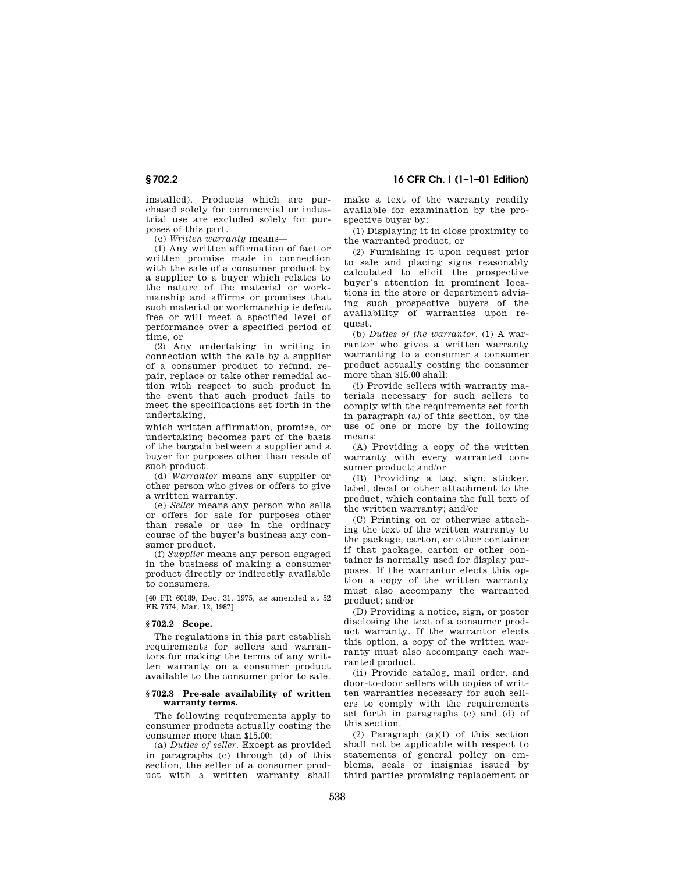installed). Products which are purchased solely for commercial or industrial use are excluded solely for purposes of this part.

(c) *Written warranty* means—

(1) Any written affirmation of fact or written promise made in connection with the sale of a consumer product by a supplier to a buyer which relates to the nature of the material or workmanship and affirms or promises that such material or workmanship is defect free or will meet a specified level of performance over a specified period of time, or

(2) Any undertaking in writing in connection with the sale by a supplier of a consumer product to refund, repair, replace or take other remedial action with respect to such product in the event that such product fails to meet the specifications set forth in the undertaking,

which written affirmation, promise, or undertaking becomes part of the basis of the bargain between a supplier and a buyer for purposes other than resale of such product.

(d) *Warrantor* means any supplier or other person who gives or offers to give a written warranty.

(e) *Seller* means any person who sells or offers for sale for purposes other than resale or use in the ordinary course of the buyer's business any consumer product.

(f) *Supplier* means any person engaged in the business of making a consumer product directly or indirectly available to consumers.

[40 FR 60189, Dec. 31, 1975, as amended at 52 FR 7574, Mar. 12, 1987]

### **§ 702.2 Scope.**

The regulations in this part establish requirements for sellers and warrantors for making the terms of any written warranty on a consumer product available to the consumer prior to sale.

#### **§ 702.3 Pre-sale availability of written warranty terms.**

The following requirements apply to consumer products actually costing the consumer more than \$15.00:

(a) *Duties of seller.* Except as provided in paragraphs (c) through (d) of this section, the seller of a consumer product with a written warranty shall

**§ 702.2 16 CFR Ch. I (1–1–01 Edition)**

make a text of the warranty readily available for examination by the prospective buyer by:

(1) Displaying it in close proximity to the warranted product, or

(2) Furnishing it upon request prior to sale and placing signs reasonably calculated to elicit the prospective buyer's attention in prominent locations in the store or department advising such prospective buyers of the availability of warranties upon request.

(b) *Duties of the warrantor.* (1) A warrantor who gives a written warranty warranting to a consumer a consumer product actually costing the consumer more than \$15.00 shall:

(i) Provide sellers with warranty materials necessary for such sellers to comply with the requirements set forth in paragraph (a) of this section, by the use of one or more by the following means:

(A) Providing a copy of the written warranty with every warranted consumer product; and/or

(B) Providing a tag, sign, sticker, label, decal or other attachment to the product, which contains the full text of the written warranty; and/or

(C) Printing on or otherwise attaching the text of the written warranty to the package, carton, or other container if that package, carton or other container is normally used for display purposes. If the warrantor elects this option a copy of the written warranty must also accompany the warranted product; and/or

(D) Providing a notice, sign, or poster disclosing the text of a consumer product warranty. If the warrantor elects this option, a copy of the written warranty must also accompany each warranted product.

(ii) Provide catalog, mail order, and door-to-door sellers with copies of written warranties necessary for such sellers to comply with the requirements set forth in paragraphs (c) and (d) of this section.

(2) Paragraph (a)(1) of this section shall not be applicable with respect to statements of general policy on emblems, seals or insignias issued by third parties promising replacement or